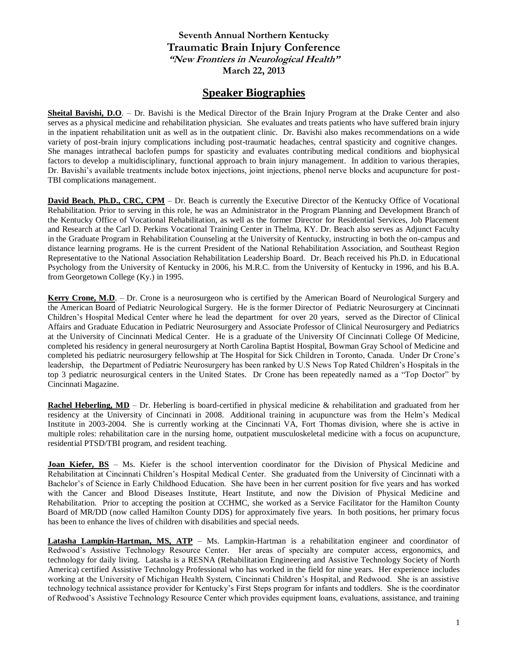## **Seventh Annual Northern Kentucky Traumatic Brain Injury Conference "New Frontiers in Neurological Health" March 22, 2013**

## **Speaker Biographies**

**Sheital Bavishi, D.O**. – Dr. Bavishi is the Medical Director of the Brain Injury Program at the Drake Center and also serves as a physical medicine and rehabilitation physician. She evaluates and treats patients who have suffered brain injury in the inpatient rehabilitation unit as well as in the outpatient clinic. Dr. Bavishi also makes recommendations on a wide variety of post-brain injury complications including post-traumatic headaches, central spasticity and cognitive changes. She manages intrathecal baclofen pumps for spasticity and evaluates contributing medical conditions and biophysical factors to develop a multidisciplinary, functional approach to brain injury management. In addition to various therapies, Dr. Bavishi's available treatments include botox injections, joint injections, phenol nerve blocks and acupuncture for post-TBI complications management.

**David Beach, Ph.D., CRC, CPM** – Dr. Beach is currently the Executive Director of the Kentucky Office of Vocational Rehabilitation. Prior to serving in this role, he was an Administrator in the Program Planning and Development Branch of the Kentucky Office of Vocational Rehabilitation, as well as the former Director for Residential Services, Job Placement and Research at the Carl D. Perkins Vocational Training Center in Thelma, KY. Dr. Beach also serves as Adjunct Faculty in the Graduate Program in Rehabilitation Counseling at the University of Kentucky, instructing in both the on-campus and distance learning programs. He is the current President of the National Rehabilitation Association, and Southeast Region Representative to the National Association Rehabilitation Leadership Board. Dr. Beach received his Ph.D. in Educational Psychology from the University of Kentucky in 2006, his M.R.C. from the University of Kentucky in 1996, and his B.A. from Georgetown College (Ky.) in 1995.

**Kerry Crone, M.D**. – Dr. Crone is a neurosurgeon who is certified by the American Board of Neurological Surgery and the American Board of Pediatric Neurological Surgery. He is the former Director of Pediatric Neurosurgery at Cincinnati Children's Hospital Medical Center where he lead the department for over 20 years, served as the Director of Clinical Affairs and Graduate Education in Pediatric Neurosurgery and Associate Professor of Clinical Neurosurgery and Pediatrics at the University of Cincinnati Medical Center. He is a graduate of the University Of Cincinnati College Of Medicine, completed his residency in general neurosurgery at North Carolina Baptist Hospital, Bowman Gray School of Medicine and completed his pediatric neurosurgery fellowship at The Hospital for Sick Children in Toronto, Canada. Under Dr Crone's leadership, the Department of Pediatric Neurosurgery has been ranked by U.S News Top Rated Children's Hospitals in the top 3 pediatric neurosurgical centers in the United States. Dr Crone has been repeatedly named as a "Top Doctor" by Cincinnati Magazine.

**Rachel Heberling, MD** – Dr. Heberling is board-certified in physical medicine & rehabilitation and graduated from her residency at the University of Cincinnati in 2008. Additional training in acupuncture was from the Helm's Medical Institute in 2003-2004. She is currently working at the Cincinnati VA, Fort Thomas division, where she is active in multiple roles: rehabilitation care in the nursing home, outpatient musculoskeletal medicine with a focus on acupuncture, residential PTSD/TBI program, and resident teaching.

**Joan Kiefer, BS** – Ms. Kiefer is the school intervention coordinator for the Division of Physical Medicine and Rehabilitation at Cincinnati Children's Hospital Medical Center. She graduated from the University of Cincinnati with a Bachelor's of Science in Early Childhood Education. She have been in her current position for five years and has worked with the Cancer and Blood Diseases Institute, Heart Institute, and now the Division of Physical Medicine and Rehabilitation. Prior to accepting the position at CCHMC, she worked as a Service Facilitator for the Hamilton County Board of MR/DD (now called Hamilton County DDS) for approximately five years. In both positions, her primary focus has been to enhance the lives of children with disabilities and special needs.

**Latasha Lampkin-Hartman, MS, ATP** – Ms. Lampkin-Hartman is a rehabilitation engineer and coordinator of Redwood's Assistive Technology Resource Center. Her areas of specialty are computer access, ergonomics, and technology for daily living. Latasha is a RESNA (Rehabilitation Engineering and Assistive Technology Society of North America) certified Assistive Technology Professional who has worked in the field for nine years. Her experience includes working at the University of Michigan Health System, Cincinnati Children's Hospital, and Redwood. She is an assistive technology technical assistance provider for Kentucky's First Steps program for infants and toddlers. She is the coordinator of Redwood's Assistive Technology Resource Center which provides equipment loans, evaluations, assistance, and training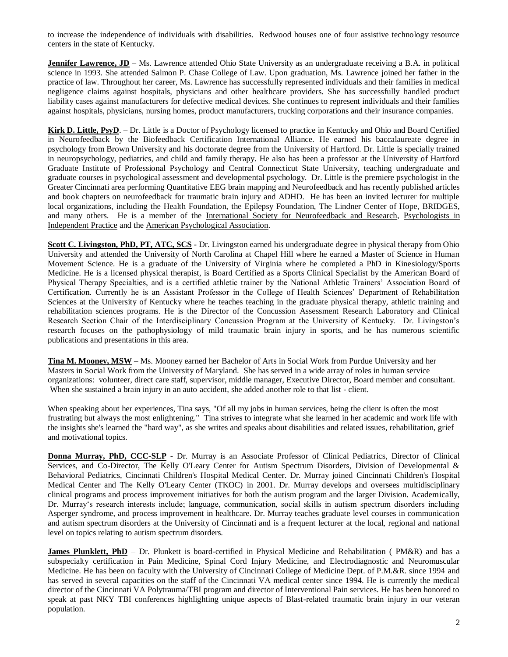to increase the independence of individuals with disabilities. Redwood houses one of four assistive technology resource centers in the state of Kentucky.

**Jennifer Lawrence, JD** – Ms. Lawrence attended Ohio State University as an undergraduate receiving a B.A. in political science in 1993. She attended Salmon P. Chase College of Law. Upon graduation, Ms. Lawrence joined her father in the practice of law. Throughout her career, Ms. Lawrence has successfully represented individuals and their families in medical negligence claims against hospitals, physicians and other healthcare providers. She has successfully handled product liability cases against manufacturers for defective medical devices. She continues to represent individuals and their families against hospitals, physicians, nursing homes, product manufacturers, trucking corporations and their insurance companies.

**Kirk D. Little, PsyD**. – Dr. Little is a Doctor of Psychology licensed to practice in Kentucky and Ohio and Board Certified in Neurofeedback by the Biofeedback Certification International Alliance. He earned his baccalaureate degree in psychology from Brown University and his doctorate degree from the University of Hartford. Dr. Little is specially trained in neuropsychology, pediatrics, and child and family therapy. He also has been a professor at the University of Hartford Graduate Institute of Professional Psychology and Central Connecticut State University, teaching undergraduate and graduate courses in psychological assessment and developmental psychology. Dr. Little is the premiere psychologist in the Greater Cincinnati area performing Quantitative EEG brain mapping and Neurofeedback and has recently published articles and book chapters on neurofeedback for traumatic brain injury and ADHD. He has been an invited lecturer for multiple local organizations, including the Health Foundation, the Epilepsy Foundation, The Lindner Center of Hope, BRIDGES, and many others. He is a member of the [International Society for Neurofeedback and Research,](http://www.isnr.org/) [Psychologists in](http://www.division42.org/)  [Independent Practice](http://www.division42.org/) and the [American Psychological Association.](http://www.apa.org/)

**Scott C. Livingston, PhD, PT, ATC, SCS -** Dr. Livingston earned his undergraduate degree in physical therapy from Ohio University and attended the University of North Carolina at Chapel Hill where he earned a Master of Science in Human Movement Science. He is a graduate of the University of Virginia where he completed a PhD in Kinesiology/Sports Medicine. He is a licensed physical therapist, is Board Certified as a Sports Clinical Specialist by the American Board of Physical Therapy Specialties, and is a certified athletic trainer by the National Athletic Trainers' Association Board of Certification. Currently he is an Assistant Professor in the College of Health Sciences' Department of Rehabilitation Sciences at the University of Kentucky where he teaches teaching in the graduate physical therapy, athletic training and rehabilitation sciences programs. He is the Director of the Concussion Assessment Research Laboratory and Clinical Research Section Chair of the Interdisciplinary Concussion Program at the University of Kentucky. Dr. Livingston's research focuses on the pathophysiology of mild traumatic brain injury in sports, and he has numerous scientific publications and presentations in this area.

**Tina M. Mooney, MSW** – Ms. Mooney earned her Bachelor of Arts in Social Work from Purdue University and her Masters in Social Work from the University of Maryland. She has served in a wide array of roles in human service organizations: volunteer, direct care staff, supervisor, middle manager, Executive Director, Board member and consultant. When she sustained a brain injury in an auto accident, she added another role to that list - client.

When speaking about her experiences, Tina says, "Of all my jobs in human services, being the client is often the most frustrating but always the most enlightening." Tina strives to integrate what she learned in her academic and work life with the insights she's learned the "hard way", as she writes and speaks about disabilities and related issues, rehabilitation, grief and motivational topics.

**Donna Murray, PhD, CCC-SLP** - Dr. Murray is an Associate Professor of Clinical Pediatrics, Director of Clinical Services, and Co-Director, The Kelly O'Leary Center for Autism Spectrum Disorders, Division of Developmental & Behavioral Pediatrics, Cincinnati Children's Hospital Medical Center. Dr. Murray joined Cincinnati Children's Hospital Medical Center and The Kelly O'Leary Center (TKOC) in 2001. Dr. Murray develops and oversees multidisciplinary clinical programs and process improvement initiatives for both the autism program and the larger Division. Academically, Dr. Murray's research interests include; language, communication, social skills in autism spectrum disorders including Asperger syndrome, and process improvement in healthcare. Dr. Murray teaches graduate level courses in communication and autism spectrum disorders at the University of Cincinnati and is a frequent lecturer at the local, regional and national level on topics relating to autism spectrum disorders.

**James Plunklett, PhD** – Dr. Plunkett is board-certified in Physical Medicine and Rehabilitation (PM&R) and has a subspecialty certification in Pain Medicine, Spinal Cord Injury Medicine, and Electrodiagnostic and Neuromuscular Medicine. He has been on faculty with the University of Cincinnati College of Medicine Dept. of P.M.&R. since 1994 and has served in several capacities on the staff of the Cincinnati VA medical center since 1994. He is currently the medical director of the Cincinnati VA Polytrauma/TBI program and director of Interventional Pain services. He has been honored to speak at past NKY TBI conferences highlighting unique aspects of Blast-related traumatic brain injury in our veteran population.